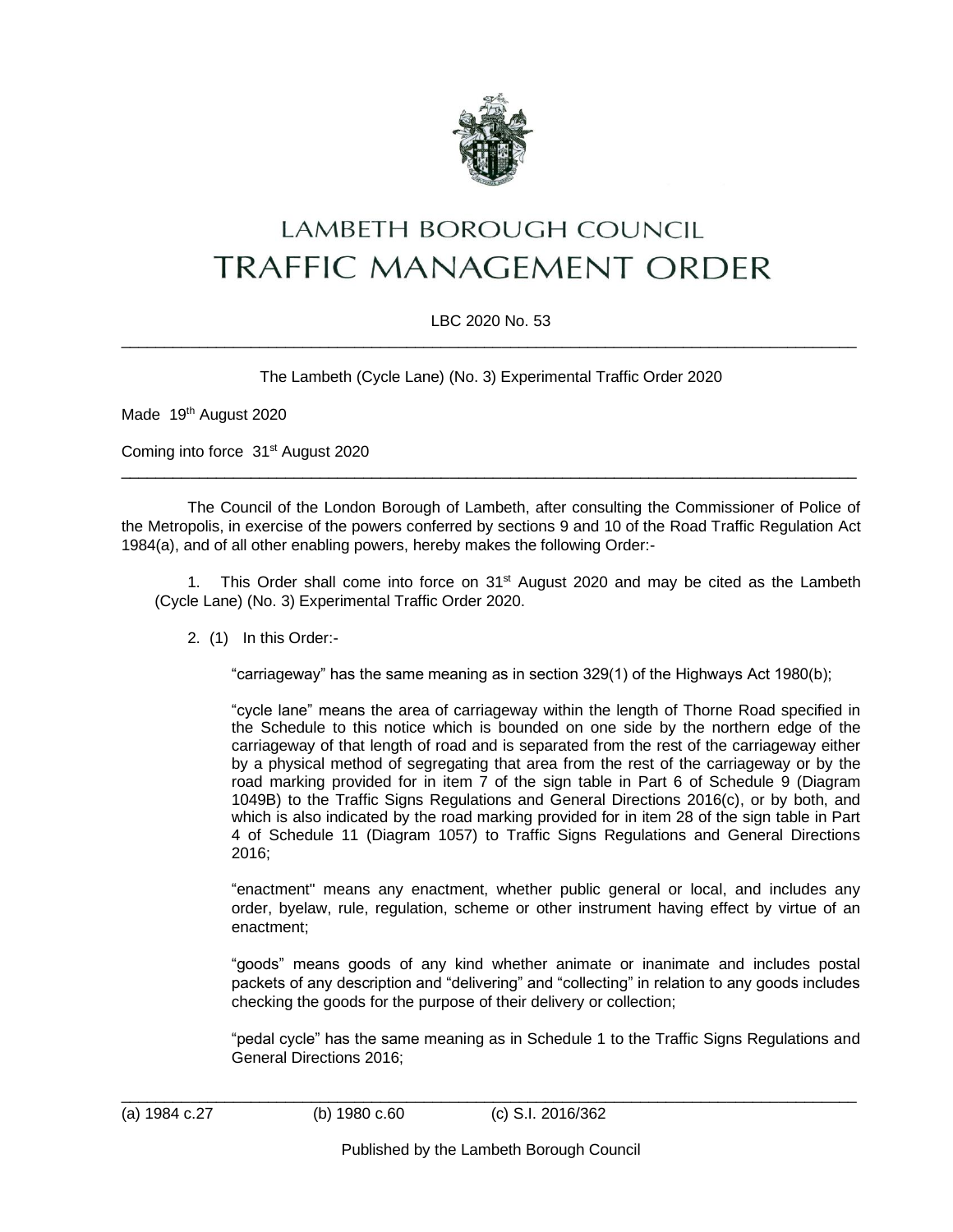

## LAMBETH BOROUGH COUNCIL **TRAFFIC MANAGEMENT ORDER**

## LBC 2020 No. 53  $\_$  ,  $\_$  ,  $\_$  ,  $\_$  ,  $\_$  ,  $\_$  ,  $\_$  ,  $\_$  ,  $\_$  ,  $\_$  ,  $\_$  ,  $\_$  ,  $\_$  ,  $\_$  ,  $\_$  ,  $\_$  ,  $\_$  ,  $\_$  ,  $\_$  ,  $\_$  ,  $\_$  ,  $\_$  ,  $\_$  ,  $\_$  ,  $\_$  ,  $\_$  ,  $\_$  ,  $\_$  ,  $\_$  ,  $\_$  ,  $\_$  ,  $\_$  ,  $\_$  ,  $\_$  ,  $\_$  ,  $\_$  ,  $\_$  ,

The Lambeth (Cycle Lane) (No. 3) Experimental Traffic Order 2020

Made 19th August 2020

Coming into force 31<sup>st</sup> August 2020

The Council of the London Borough of Lambeth, after consulting the Commissioner of Police of the Metropolis, in exercise of the powers conferred by sections 9 and 10 of the Road Traffic Regulation Act 1984(a), and of all other enabling powers, hereby makes the following Order:-

 $\_$  ,  $\_$  ,  $\_$  ,  $\_$  ,  $\_$  ,  $\_$  ,  $\_$  ,  $\_$  ,  $\_$  ,  $\_$  ,  $\_$  ,  $\_$  ,  $\_$  ,  $\_$  ,  $\_$  ,  $\_$  ,  $\_$  ,  $\_$  ,  $\_$  ,  $\_$  ,  $\_$  ,  $\_$  ,  $\_$  ,  $\_$  ,  $\_$  ,  $\_$  ,  $\_$  ,  $\_$  ,  $\_$  ,  $\_$  ,  $\_$  ,  $\_$  ,  $\_$  ,  $\_$  ,  $\_$  ,  $\_$  ,  $\_$  ,

1. This Order shall come into force on  $31<sup>st</sup>$  August 2020 and may be cited as the Lambeth (Cycle Lane) (No. 3) Experimental Traffic Order 2020.

2. (1) In this Order:-

"carriageway" has the same meaning as in section 329(1) of the Highways Act 1980(b);

"cycle lane" means the area of carriageway within the length of Thorne Road specified in the Schedule to this notice which is bounded on one side by the northern edge of the carriageway of that length of road and is separated from the rest of the carriageway either by a physical method of segregating that area from the rest of the carriageway or by the road marking provided for in item 7 of the sign table in Part 6 of Schedule 9 (Diagram 1049B) to the Traffic Signs Regulations and General Directions 2016(c), or by both, and which is also indicated by the road marking provided for in item 28 of the sign table in Part 4 of Schedule 11 (Diagram 1057) to Traffic Signs Regulations and General Directions 2016;

"enactment" means any enactment, whether public general or local, and includes any order, byelaw, rule, regulation, scheme or other instrument having effect by virtue of an enactment;

"goods" means goods of any kind whether animate or inanimate and includes postal packets of any description and "delivering" and "collecting" in relation to any goods includes checking the goods for the purpose of their delivery or collection;

"pedal cycle" has the same meaning as in Schedule 1 to the Traffic Signs Regulations and General Directions 2016;

 $\_$  ,  $\_$  ,  $\_$  ,  $\_$  ,  $\_$  ,  $\_$  ,  $\_$  ,  $\_$  ,  $\_$  ,  $\_$  ,  $\_$  ,  $\_$  ,  $\_$  ,  $\_$  ,  $\_$  ,  $\_$  ,  $\_$  ,  $\_$  ,  $\_$  ,  $\_$  ,  $\_$  ,  $\_$  ,  $\_$  ,  $\_$  ,  $\_$  ,  $\_$  ,  $\_$  ,  $\_$  ,  $\_$  ,  $\_$  ,  $\_$  ,  $\_$  ,  $\_$  ,  $\_$  ,  $\_$  ,  $\_$  ,  $\_$  ,